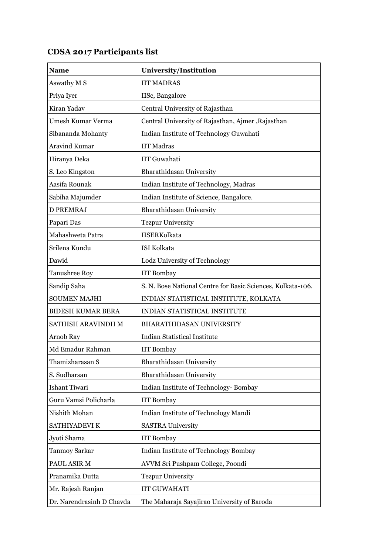| Name                      | University/Institution                                      |
|---------------------------|-------------------------------------------------------------|
| Aswathy M S               | <b>IIT MADRAS</b>                                           |
| Priya Iyer                | IISc, Bangalore                                             |
| Kiran Yadav               | Central University of Rajasthan                             |
| Umesh Kumar Verma         | Central University of Rajasthan, Ajmer, Rajasthan           |
| Sibananda Mohanty         | Indian Institute of Technology Guwahati                     |
| <b>Aravind Kumar</b>      | <b>IIT Madras</b>                                           |
| Hiranya Deka              | <b>IIT Guwahati</b>                                         |
| S. Leo Kingston           | Bharathidasan University                                    |
| Aasifa Rounak             | Indian Institute of Technology, Madras                      |
| Sabiha Majumder           | Indian Institute of Science, Bangalore.                     |
| <b>D PREMRAJ</b>          | Bharathidasan University                                    |
| Papari Das                | <b>Tezpur University</b>                                    |
| Mahashweta Patra          | <b>IISERKolkata</b>                                         |
| Srilena Kundu             | <b>ISI Kolkata</b>                                          |
| Dawid                     | Lodz University of Technology                               |
| <b>Tanushree Roy</b>      | <b>IIT Bombay</b>                                           |
| Sandip Saha               | S. N. Bose National Centre for Basic Sciences, Kolkata-106. |
| <b>SOUMEN MAJHI</b>       | INDIAN STATISTICAL INSTITUTE, KOLKATA                       |
| <b>BIDESH KUMAR BERA</b>  | INDIAN STATISTICAL INSTITUTE                                |
| SATHISH ARAVINDH M        | <b>BHARATHIDASAN UNIVERSITY</b>                             |
| Arnob Ray                 | <b>Indian Statistical Institute</b>                         |
| Md Emadur Rahman          | <b>IIT Bombay</b>                                           |
| Thamizharasan S           | Bharathidasan University                                    |
| S. Sudharsan              | Bharathidasan University                                    |
| Ishant Tiwari             | Indian Institute of Technology- Bombay                      |
| Guru Vamsi Policharla     | <b>IIT Bombay</b>                                           |
| Nishith Mohan             | Indian Institute of Technology Mandi                        |
| SATHIYADEVI K             | <b>SASTRA University</b>                                    |
| Jyoti Shama               | <b>IIT Bombay</b>                                           |
| Tanmoy Sarkar             | Indian Institute of Technology Bombay                       |
| PAUL ASIR M               | AVVM Sri Pushpam College, Poondi                            |
| Pranamika Dutta           | <b>Tezpur University</b>                                    |
| Mr. Rajesh Ranjan         | <b>IIT GUWAHATI</b>                                         |
| Dr. Narendrasinh D Chavda | The Maharaja Sayajirao University of Baroda                 |

## CDSA 2017 Participants list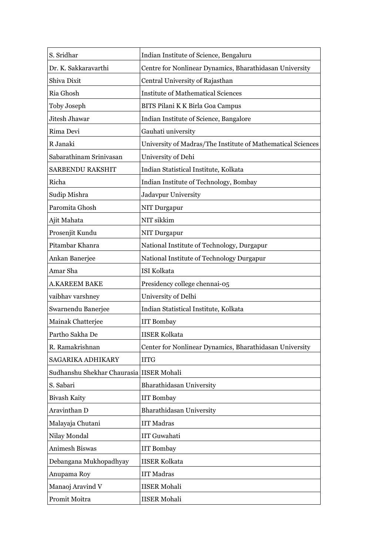| S. Sridhar                               | Indian Institute of Science, Bengaluru                      |
|------------------------------------------|-------------------------------------------------------------|
| Dr. K. Sakkaravarthi                     | Centre for Nonlinear Dynamics, Bharathidasan University     |
| Shiva Dixit                              | Central University of Rajasthan                             |
| Ria Ghosh                                | <b>Institute of Mathematical Sciences</b>                   |
| Toby Joseph                              | BITS Pilani K K Birla Goa Campus                            |
| Jitesh Jhawar                            | Indian Institute of Science, Bangalore                      |
| Rima Devi                                | Gauhati university                                          |
| R Janaki                                 | University of Madras/The Institute of Mathematical Sciences |
| Sabarathinam Srinivasan                  | University of Dehi                                          |
| SARBENDU RAKSHIT                         | Indian Statistical Institute, Kolkata                       |
| Richa                                    | Indian Institute of Technology, Bombay                      |
| Sudip Mishra                             | Jadavpur University                                         |
| Paromita Ghosh                           | NIT Durgapur                                                |
| Ajit Mahata                              | NIT sikkim                                                  |
| Prosenjit Kundu                          | NIT Durgapur                                                |
| Pitambar Khanra                          | National Institute of Technology, Durgapur                  |
| Ankan Banerjee                           | National Institute of Technology Durgapur                   |
| Amar Sha                                 | <b>ISI Kolkata</b>                                          |
| <b>A.KAREEM BAKE</b>                     | Presidency college chennai-05                               |
| vaibhav varshney                         | University of Delhi                                         |
| Swarnendu Banerjee                       | Indian Statistical Institute, Kolkata                       |
| Mainak Chatterjee                        | <b>IIT Bombay</b>                                           |
| Partho Sakha De                          | <b>IISER Kolkata</b>                                        |
| R. Ramakrishnan                          | Center for Nonlinear Dynamics, Bharathidasan University     |
| SAGARIKA ADHIKARY                        | <b>IITG</b>                                                 |
| Sudhanshu Shekhar Chaurasia IISER Mohali |                                                             |
| S. Sabari                                | <b>Bharathidasan University</b>                             |
| <b>Bivash Kaity</b>                      | <b>IIT Bombay</b>                                           |
| Aravinthan D                             | Bharathidasan University                                    |
| Malayaja Chutani                         | <b>IIT Madras</b>                                           |
| Nilay Mondal                             | <b>IIT Guwahati</b>                                         |
| <b>Animesh Biswas</b>                    | <b>IIT Bombay</b>                                           |
| Debangana Mukhopadhyay                   | <b>IISER Kolkata</b>                                        |
| Anupama Roy                              | <b>IIT Madras</b>                                           |
| Manaoj Aravind V                         | <b>IISER Mohali</b>                                         |
| Promit Moitra                            | <b>IISER</b> Mohali                                         |